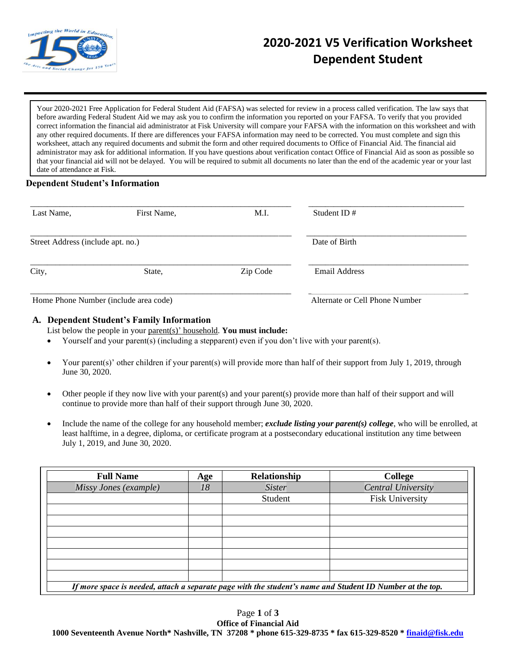

# **2020-2021 V5 Verification Worksheet Dependent Student**

Your 2020-2021 Free Application for Federal Student Aid (FAFSA) was selected for review in a process called verification. The law says that before awarding Federal Student Aid we may ask you to confirm the information you reported on your FAFSA. To verify that you provided correct information the financial aid administrator at Fisk University will compare your FAFSA with the information on this worksheet and with any other required documents. If there are differences your FAFSA information may need to be corrected. You must complete and sign this worksheet, attach any required documents and submit the form and other required documents to Office of Financial Aid. The financial aid administrator may ask for additional information. If you have questions about verification contact Office of Financial Aid as soon as possible so that your financial aid will not be delayed. You will be required to submit all documents no later than the end of the academic year or your last date of attendance at Fisk.

## **Dependent Student's Information**

| Last Name,                            | First Name, | M.I.     | Student ID $#$                 |
|---------------------------------------|-------------|----------|--------------------------------|
| Street Address (include apt. no.)     |             |          | Date of Birth                  |
| City,                                 | State,      | Zip Code | <b>Email Address</b>           |
| Home Phone Number (include area code) |             |          | Alternate or Cell Phone Number |

## **A. Dependent Student's Family Information**

List below the people in your parent(s)' household. **You must include:**

- Yourself and your parent(s) (including a stepparent) even if you don't live with your parent(s).
- Your parent(s)' other children if your parent(s) will provide more than half of their support from July 1, 2019, through June 30, 2020.
- Other people if they now live with your parent(s) and your parent(s) provide more than half of their support and will continue to provide more than half of their support through June 30, 2020.
- Include the name of the college for any household member; *exclude listing your parent(s) college*, who will be enrolled, at least halftime, in a degree, diploma, or certificate program at a postsecondary educational institution any time between July 1, 2019, and June 30, 2020.

| <b>Full Name</b>                                                                                          | Age | Relationship  | College                   |  |  |  |
|-----------------------------------------------------------------------------------------------------------|-----|---------------|---------------------------|--|--|--|
| Missy Jones (example)                                                                                     | 18  | <b>Sister</b> | <b>Central University</b> |  |  |  |
|                                                                                                           |     | Student       | <b>Fisk University</b>    |  |  |  |
|                                                                                                           |     |               |                           |  |  |  |
|                                                                                                           |     |               |                           |  |  |  |
|                                                                                                           |     |               |                           |  |  |  |
|                                                                                                           |     |               |                           |  |  |  |
|                                                                                                           |     |               |                           |  |  |  |
|                                                                                                           |     |               |                           |  |  |  |
|                                                                                                           |     |               |                           |  |  |  |
| If more space is needed, attach a separate page with the student's name and Student ID Number at the top. |     |               |                           |  |  |  |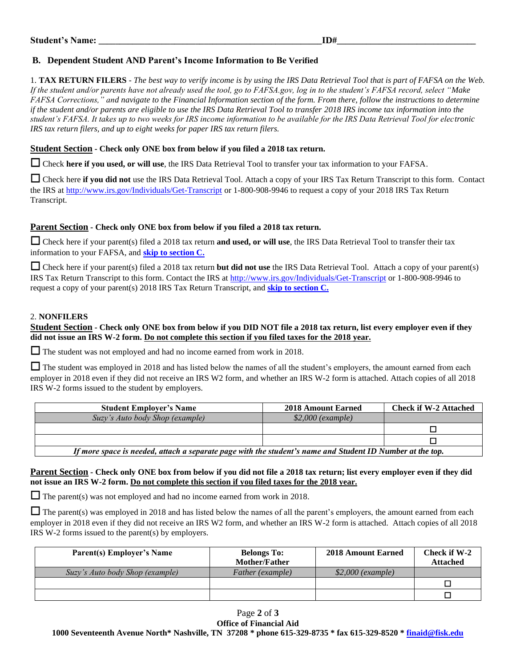## **B. Dependent Student AND Parent's Income Information to Be Verified**

1. **TAX RETURN FILERS** - *The best way to verify income is by using the IRS Data Retrieval Tool that is part of FAFSA on the Web. If the student and/or parents have not already used the tool, go to FAFSA.gov, log in to the student's FAFSA record, select "Make FAFSA Corrections," and navigate to the Financial Information section of the form. From there, follow the instructions to determine if the student and/or parents are eligible to use the IRS Data Retrieval Tool to transfer 2018 IRS income tax information into the student's FAFSA. It takes up to two weeks for IRS income information to be available for the IRS Data Retrieval Tool for electronic IRS tax return filers, and up to eight weeks for paper IRS tax return filers.*

#### **Student Section - Check only ONE box from below if you filed a 2018 tax return.**

☐ Check **here if you used, or will use**, the IRS Data Retrieval Tool to transfer your tax information to your FAFSA.

□ Check here if you did not use the IRS Data Retrieval Tool. Attach a copy of your IRS Tax Return Transcript to this form. Contact the IRS at<http://www.irs.gov/Individuals/Get-Transcript> or 1-800-908-9946 to request a copy of your 2018 IRS Tax Return Transcript.

#### **Parent Section - Check only ONE box from below if you filed a 2018 tax return.**

□ Check here if your parent(s) filed a 2018 tax return **and used, or will use**, the IRS Data Retrieval Tool to transfer their tax information to your FAFSA, and **skip to section C.**

☐ Check here if your parent(s) filed a 2018 tax return **but did not use** the IRS Data Retrieval Tool. Attach a copy of your parent(s) IRS Tax Return Transcript to this form. Contact the IRS at<http://www.irs.gov/Individuals/Get-Transcript> or 1-800-908-9946 to request a copy of your parent(s) 2018 IRS Tax Return Transcript, and **skip to section C.**

#### 2. **NONFILERS**

## **Student Section - Check only ONE box from below if you DID NOT file a 2018 tax return, list every employer even if they did not issue an IRS W-2 form. Do not complete this section if you filed taxes for the 2018 year.**

□ The student was not employed and had no income earned from work in 2018.

 $\Box$  The student was employed in 2018 and has listed below the names of all the student's employers, the amount earned from each employer in 2018 even if they did not receive an IRS W2 form, and whether an IRS W-2 form is attached. Attach copies of all 2018 IRS W-2 forms issued to the student by employers.

| <b>Student Employer's Name</b>                                                                            | <b>2018 Amount Earned</b> | <b>Check if W-2 Attached</b> |  |  |  |
|-----------------------------------------------------------------------------------------------------------|---------------------------|------------------------------|--|--|--|
| Suzy's Auto body Shop (example)                                                                           | $$2,000$ (example)        |                              |  |  |  |
|                                                                                                           |                           |                              |  |  |  |
|                                                                                                           |                           |                              |  |  |  |
| If more space is needed, attach a separate page with the student's name and Student ID Number at the top. |                           |                              |  |  |  |

#### **Parent Section - Check only ONE box from below if you did not file a 2018 tax return; list every employer even if they did not issue an IRS W-2 form. Do not complete this section if you filed taxes for the 2018 year.**

 $\Box$  The parent(s) was not employed and had no income earned from work in 2018.

 $\Box$  The parent(s) was employed in 2018 and has listed below the names of all the parent's employers, the amount earned from each employer in 2018 even if they did not receive an IRS W2 form, and whether an IRS W-2 form is attached. Attach copies of all 2018 IRS W-2 forms issued to the parent(s) by employers.

| <b>Parent(s) Employer's Name</b> | <b>Belongs To:</b><br>Mother/Father | <b>2018 Amount Earned</b> | Check if W-2<br><b>Attached</b> |
|----------------------------------|-------------------------------------|---------------------------|---------------------------------|
| Suzy's Auto body Shop (example)  | Father (example)                    | $$2,000$ (example)        |                                 |
|                                  |                                     |                           |                                 |
|                                  |                                     |                           |                                 |

## Page **2** of **3**

**Office of Financial Aid 1000 Seventeenth Avenue North\* Nashville, TN 37208 \* phone 615-329-8735 \* fax 615-329-8520 \* [finaid@fisk.edu](mailto:finaid@fisk.edu)**